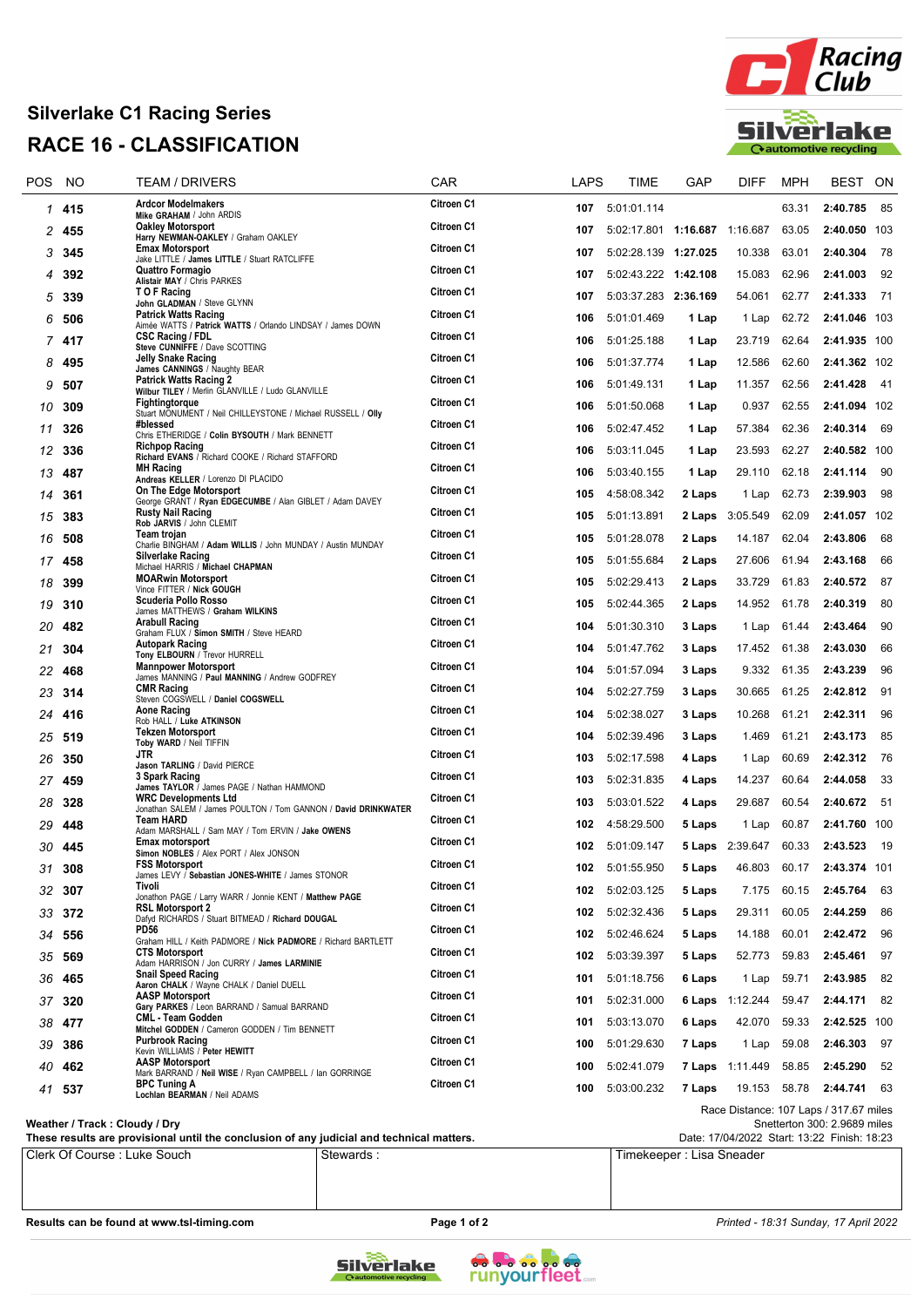## **Silverlake C1 Racing Series RACE 16 - CLASSIFICATION**



| <b>Ardcor Modelmakers</b><br>Citroen C1<br>85<br>5:01:01.114<br>63.31<br>2:40.785<br>1 415<br>107<br>Mike GRAHAM / John ARDIS<br>Citroen C1<br><b>Oakley Motorsport</b><br>5:02:17.801   1:16.687   1:16.687<br>63.05<br>2:40.050 103<br>107<br>2<br>455<br>Harry NEWMAN-OAKLEY / Graham OAKLEY<br>Citroen C1<br><b>Emax Motorsport</b><br>78<br>5:02:28.139 1:27.025<br>10.338<br>63.01<br>2:40.304<br>107<br>345<br>3<br>Jake LITTLE / James LITTLE / Stuart RATCLIFFE<br>Quattro Formagio<br>Citroen C1<br>92<br>392<br>5:02:43.222 1:42.108<br>15.083<br>62.96<br>2:41.003<br>107<br>4<br>Alistair MAY / Chris PARKES<br>T O F Racing<br><b>Citroen C1</b><br>2:41.333<br>71<br>339<br>5:03:37.283 2:36.169<br>54.061<br>62.77<br>5<br>107<br>John GLADMAN / Steve GLYNN<br><b>Patrick Watts Racing</b><br>Citroen C1<br>5:01:01.469<br>62.72<br>2:41.046 103<br>506<br>106<br>1 Lap<br>1 Lap<br>6<br>Aimée WATTS / Patrick WATTS / Orlando LINDSAY / James DOWN<br><b>CSC Racing / FDL</b><br>Citroen C1<br>5:01:25.188<br>23.719<br>62.64<br>2:41.935 100<br>417<br>106<br>1 Lap<br>7<br>Steve CUNNIFFE / Dave SCOTTING<br><b>Jelly Snake Racing</b><br><b>Citroen C1</b><br>5:01:37.774<br>12.586<br>62.60<br>2:41.362 102<br>495<br>106<br>1 Lap<br>8<br>James CANNINGS / Naughty BEAR<br><b>Patrick Watts Racing 2</b><br><b>Citroen C1</b><br>5:01:49.131<br>62.56<br>2:41.428<br>-41<br>106<br>1 Lap<br>11.357<br>9<br>507<br>Wilbur TILEY / Merlin GLANVILLE / Ludo GLANVILLE<br>Citroen C1<br>Fightingtorque<br>62.55<br>2:41.094 102<br>309<br>106<br>5:01:50.068<br>1 Lap<br>0.937<br>10<br>Stuart MONUMENT / Neil CHILLEYSTONE / Michael RUSSELL / Olly<br>#blessed<br>Citroen C1<br>69<br>326<br>5:02:47.452<br>57.384<br>62.36<br>2:40.314<br>106<br>1 Lap<br>11<br>Chris ETHERIDGE / Colin BYSOUTH / Mark BENNETT<br><b>Citroen C1</b><br><b>Richpop Racing</b><br>5:03:11.045<br>62.27<br>2:40.582 100<br>106<br>1 Lap<br>23.593<br>12<br>336<br>Richard EVANS / Richard COOKE / Richard STAFFORD<br>Citroen C1<br><b>MH Racing</b><br>5:03:40.155<br>62.18<br>2:41.114<br>- 90<br>487<br>106<br>1 Lap<br>29.110<br>13<br>Andreas KELLER / Lorenzo DI PLACIDO<br>On The Edge Motorsport<br>Citroen C1<br>98<br>4:58:08.342<br>2 Laps<br>62.73<br>2:39.903<br>105<br>361<br>1 Lap<br>14<br>George GRANT / Ryan EDGECUMBE / Alan GIBLET / Adam DAVEY<br><b>Rusty Nail Racing</b><br>Citroen C1<br>383<br>3:05.549<br>62.09<br>2:41.057 102<br>15<br>105<br>5:01:13.891<br>2 Laps<br>Rob JARVIS / John CLEMIT<br>Team trojan<br><b>Citroen C1</b><br>5:01:28.078<br>68<br>508<br>14.187<br>62.04<br>2:43.806<br>16<br>105<br>2 Laps<br>Charlie BINGHAM / Adam WILLIS / John MUNDAY / Austin MUNDAY<br><b>Silverlake Racing</b><br>Citroen C1<br>66<br>5:01:55.684<br>61.94<br>2:43.168<br>105<br>2 Laps<br>27.606<br>17<br>458<br>Michael HARRIS / Michael CHAPMAN<br><b>MOARwin Motorsport</b><br>Citroen C1<br>87<br>5:02:29.413<br>33.729<br>61.83<br>2:40.572<br>399<br>105<br>2 Laps<br>18<br>Vince FITTER / Nick GOUGH<br>Scuderia Pollo Rosso<br>Citroen C1<br>80<br>5:02:44.365<br>2 Laps<br>14.952<br>61.78<br>2:40.319<br>105<br>19<br>310<br>James MATTHEWS / Graham WILKINS<br><b>Arabull Racing</b><br>Citroen C1<br>90<br>482<br>5:01:30.310<br>3 Laps<br>2:43.464<br>20<br>104<br>61.44<br>1 Lap<br>Graham FLUX / Simon SMITH / Steve HEARD<br><b>Autopark Racing</b><br>Citroen C1<br>66<br>5:01:47.762<br>3 Laps<br>17.452<br>61.38<br>2:43.030<br>21<br>304<br>104<br>Tony ELBOURN / Trevor HURRELL<br><b>Mannpower Motorsport</b><br>Citroen C1<br>96<br>468<br>5:01:57.094<br>3 Laps<br>9.332<br>61.35<br>2:43.239<br>22<br>104<br>James MANNING / Paul MANNING / Andrew GODFREY<br><b>CMR Racing</b><br>Citroen C1<br>5:02:27.759<br>61.25<br>2:42.812<br>- 91<br>104<br>3 Laps<br>30.665<br>23<br>314<br>Steven COGSWELL / Daniel COGSWELL<br>Aone Racing<br>Citroen C1<br>96<br>5:02:38.027<br>3 Laps<br>61.21<br>2:42.311<br>104<br>10.268<br>416<br>24<br>Rob HALL / Luke ATKINSON<br><b>Tekzen Motorsport</b><br>Citroen C1<br>85<br>519<br>5:02:39.496<br>61.21<br>2:43.173<br>104<br>3 Laps<br>1.469<br>25<br>Toby WARD / Neil TIFFIN<br>JTR<br>Citroen C1<br>76<br>5:02:17.598<br>60.69<br>2:42.312<br>26<br>350<br>103<br>4 Laps<br>1 Lap<br>Jason TARLING / David PIERCE<br>3 Spark Racing<br>Citroen C1<br>-33<br>103<br>5:02:31.835<br>14.237<br>60.64<br>2:44.058<br>459<br>4 Laps<br>27<br>James TAYLOR / James PAGE / Nathan HAMMOND<br><b>WRC Developments Ltd</b><br>Citroen C1<br>5:03:01.522<br>2:40.672<br>- 51<br>328<br>103<br>4 Laps<br>29.687<br>60.54<br>28<br>Jonathan SALEM / James POULTON / Tom GANNON / David DRINKWATER<br><b>Team HARD</b><br>Citroen C1<br>4:58:29.500<br>60.87<br>2:41.760 100<br>102<br>5 Laps<br>29<br>448<br>1 Lap<br>Adam MARSHALL / Sam MAY / Tom ERVIN / Jake OWENS<br>Emax motorsport<br>Citroen C1<br>5 Laps 2:39.647<br>60.33<br>- 19<br>5:01:09.147<br>2:43.523<br>30<br>445<br>102<br>Simon NOBLES / Alex PORT / Alex JONSON<br><b>FSS Motorsport</b><br>Citroen C1<br>31 308<br>102 5:01:55.950<br>5 Laps<br>46.803 60.17<br>2:43.374 101<br>James LEVY / Sebastian JONES-WHITE / James STONOR<br>Citroen C1<br>Tivoli<br>63<br>32 307<br>102<br>5:02:03.125<br>5 Laps<br>7.175<br>60.15<br>2:45.764<br>Jonathon PAGE / Larry WARR / Jonnie KENT / Matthew PAGE<br>Citroen C1<br><b>RSL Motorsport 2</b><br>5:02:32.436<br>29.311<br>60.05<br>2:44.259<br>86<br>102<br>5 Laps<br>33 372<br>Dafyd RICHARDS / Stuart BITMEAD / Richard DOUGAL<br><b>PD56</b><br>Citroen C1<br>5:02:46.624<br>14.188<br>60.01<br>2:42.472 96<br>102<br>5 Laps<br>34 556<br>Graham HILL / Keith PADMORE / Nick PADMORE / Richard BARTLETT<br>Citroen C1<br><b>CTS Motorsport</b><br>5:03:39.397<br>52.773<br>59.83<br>2:45.461 97<br>35 569<br>102<br>5 Laps<br>Adam HARRISON / Jon CURRY / James LARMINIE<br>Citroen C1<br><b>Snail Speed Racing</b><br>59.71<br>2:43.985<br>82<br>36 465<br>101<br>5:01:18.756<br>6 Laps<br>1 Lap<br>Aaron CHALK / Wayne CHALK / Daniel DUELL<br><b>AASP Motorsport</b><br>Citroen C1<br>5:02:31.000<br>6 Laps 1:12.244<br>59.47<br>2:44.171 82<br>37 320<br>101<br>Gary PARKES / Leon BARRAND / Samual BARRAND<br>Citroen C1<br><b>CML - Team Godden</b><br>5:03:13.070<br>42.070<br>59.33<br>2:42.525 100<br>101<br>6 Laps<br>38 477<br>Mitchel GODDEN / Cameron GODDEN / Tim BENNETT<br>Citroen C1<br><b>Purbrook Racing</b><br>5:01:29.630<br>97<br>100<br>7 Laps<br>1 Lap<br>59.08<br>2:46.303<br>39<br>386<br>Kevin WILLIAMS / Peter HEWITT<br><b>AASP Motorsport</b><br>Citroen C1<br>5:02:41.079<br>58.85<br>- 52<br>40<br>462<br>100<br><b>7 Laps</b> 1:11.449<br>2:45.290<br>Mark BARRAND / Neil WISE / Ryan CAMPBELL / Ian GORRINGE<br>Citroen C1<br><b>BPC Tuning A</b><br>5:03:00.232<br>19.153 58.78<br>2:44.741 63<br>41 537<br>100<br>7 Laps<br>Lochlan BEARMAN / Neil ADAMS<br>Race Distance: 107 Laps / 317.67 miles | POS | <b>NO</b> | <b>TEAM / DRIVERS</b> | CAR | LAPS | TIME | GAP | DIFF | <b>MPH</b> | <b>BEST</b> | ON |
|----------------------------------------------------------------------------------------------------------------------------------------------------------------------------------------------------------------------------------------------------------------------------------------------------------------------------------------------------------------------------------------------------------------------------------------------------------------------------------------------------------------------------------------------------------------------------------------------------------------------------------------------------------------------------------------------------------------------------------------------------------------------------------------------------------------------------------------------------------------------------------------------------------------------------------------------------------------------------------------------------------------------------------------------------------------------------------------------------------------------------------------------------------------------------------------------------------------------------------------------------------------------------------------------------------------------------------------------------------------------------------------------------------------------------------------------------------------------------------------------------------------------------------------------------------------------------------------------------------------------------------------------------------------------------------------------------------------------------------------------------------------------------------------------------------------------------------------------------------------------------------------------------------------------------------------------------------------------------------------------------------------------------------------------------------------------------------------------------------------------------------------------------------------------------------------------------------------------------------------------------------------------------------------------------------------------------------------------------------------------------------------------------------------------------------------------------------------------------------------------------------------------------------------------------------------------------------------------------------------------------------------------------------------------------------------------------------------------------------------------------------------------------------------------------------------------------------------------------------------------------------------------------------------------------------------------------------------------------------------------------------------------------------------------------------------------------------------------------------------------------------------------------------------------------------------------------------------------------------------------------------------------------------------------------------------------------------------------------------------------------------------------------------------------------------------------------------------------------------------------------------------------------------------------------------------------------------------------------------------------------------------------------------------------------------------------------------------------------------------------------------------------------------------------------------------------------------------------------------------------------------------------------------------------------------------------------------------------------------------------------------------------------------------------------------------------------------------------------------------------------------------------------------------------------------------------------------------------------------------------------------------------------------------------------------------------------------------------------------------------------------------------------------------------------------------------------------------------------------------------------------------------------------------------------------------------------------------------------------------------------------------------------------------------------------------------------------------------------------------------------------------------------------------------------------------------------------------------------------------------------------------------------------------------------------------------------------------------------------------------------------------------------------------------------------------------------------------------------------------------------------------------------------------------------------------------------------------------------------------------------------------------------------------------------------------------------------------------------------------------------------------------------------------------------------------------------------------------------------------------------------------------------------------------------------------------------------------------------------------------------------------------------------------------------------------------------------------------------------------------------------------------------------------------------------------------------------------------------------------------------------------------------------------------------------------------------------------------------------------------------------------------------------------------------------------------------------------------------------------------------------------------------------------------------------------------------------------------------------------------------------------------------------------------------------------------------------------------------------------------------------------------------------------------------------------------------------------------------------------------------------------------------------------------------------------------------------------------------------------------------------------------------------------------------------------------------------------------------------------------------------------------------------------------------------------------------------------------------------------------------------------------------------------------------------------------------------|-----|-----------|-----------------------|-----|------|------|-----|------|------------|-------------|----|
|                                                                                                                                                                                                                                                                                                                                                                                                                                                                                                                                                                                                                                                                                                                                                                                                                                                                                                                                                                                                                                                                                                                                                                                                                                                                                                                                                                                                                                                                                                                                                                                                                                                                                                                                                                                                                                                                                                                                                                                                                                                                                                                                                                                                                                                                                                                                                                                                                                                                                                                                                                                                                                                                                                                                                                                                                                                                                                                                                                                                                                                                                                                                                                                                                                                                                                                                                                                                                                                                                                                                                                                                                                                                                                                                                                                                                                                                                                                                                                                                                                                                                                                                                                                                                                                                                                                                                                                                                                                                                                                                                                                                                                                                                                                                                                                                                                                                                                                                                                                                                                                                                                                                                                                                                                                                                                                                                                                                                                                                                                                                                                                                                                                                                                                                                                                                                                                                                                                                                                                                                                                                                                                                                                                                                                                                                                                                                                                                                                                                                                                                                                                                                                                                                                                                                                                                                                                                                                                                                          |     |           |                       |     |      |      |     |      |            |             |    |
|                                                                                                                                                                                                                                                                                                                                                                                                                                                                                                                                                                                                                                                                                                                                                                                                                                                                                                                                                                                                                                                                                                                                                                                                                                                                                                                                                                                                                                                                                                                                                                                                                                                                                                                                                                                                                                                                                                                                                                                                                                                                                                                                                                                                                                                                                                                                                                                                                                                                                                                                                                                                                                                                                                                                                                                                                                                                                                                                                                                                                                                                                                                                                                                                                                                                                                                                                                                                                                                                                                                                                                                                                                                                                                                                                                                                                                                                                                                                                                                                                                                                                                                                                                                                                                                                                                                                                                                                                                                                                                                                                                                                                                                                                                                                                                                                                                                                                                                                                                                                                                                                                                                                                                                                                                                                                                                                                                                                                                                                                                                                                                                                                                                                                                                                                                                                                                                                                                                                                                                                                                                                                                                                                                                                                                                                                                                                                                                                                                                                                                                                                                                                                                                                                                                                                                                                                                                                                                                                                          |     |           |                       |     |      |      |     |      |            |             |    |
|                                                                                                                                                                                                                                                                                                                                                                                                                                                                                                                                                                                                                                                                                                                                                                                                                                                                                                                                                                                                                                                                                                                                                                                                                                                                                                                                                                                                                                                                                                                                                                                                                                                                                                                                                                                                                                                                                                                                                                                                                                                                                                                                                                                                                                                                                                                                                                                                                                                                                                                                                                                                                                                                                                                                                                                                                                                                                                                                                                                                                                                                                                                                                                                                                                                                                                                                                                                                                                                                                                                                                                                                                                                                                                                                                                                                                                                                                                                                                                                                                                                                                                                                                                                                                                                                                                                                                                                                                                                                                                                                                                                                                                                                                                                                                                                                                                                                                                                                                                                                                                                                                                                                                                                                                                                                                                                                                                                                                                                                                                                                                                                                                                                                                                                                                                                                                                                                                                                                                                                                                                                                                                                                                                                                                                                                                                                                                                                                                                                                                                                                                                                                                                                                                                                                                                                                                                                                                                                                                          |     |           |                       |     |      |      |     |      |            |             |    |
|                                                                                                                                                                                                                                                                                                                                                                                                                                                                                                                                                                                                                                                                                                                                                                                                                                                                                                                                                                                                                                                                                                                                                                                                                                                                                                                                                                                                                                                                                                                                                                                                                                                                                                                                                                                                                                                                                                                                                                                                                                                                                                                                                                                                                                                                                                                                                                                                                                                                                                                                                                                                                                                                                                                                                                                                                                                                                                                                                                                                                                                                                                                                                                                                                                                                                                                                                                                                                                                                                                                                                                                                                                                                                                                                                                                                                                                                                                                                                                                                                                                                                                                                                                                                                                                                                                                                                                                                                                                                                                                                                                                                                                                                                                                                                                                                                                                                                                                                                                                                                                                                                                                                                                                                                                                                                                                                                                                                                                                                                                                                                                                                                                                                                                                                                                                                                                                                                                                                                                                                                                                                                                                                                                                                                                                                                                                                                                                                                                                                                                                                                                                                                                                                                                                                                                                                                                                                                                                                                          |     |           |                       |     |      |      |     |      |            |             |    |
|                                                                                                                                                                                                                                                                                                                                                                                                                                                                                                                                                                                                                                                                                                                                                                                                                                                                                                                                                                                                                                                                                                                                                                                                                                                                                                                                                                                                                                                                                                                                                                                                                                                                                                                                                                                                                                                                                                                                                                                                                                                                                                                                                                                                                                                                                                                                                                                                                                                                                                                                                                                                                                                                                                                                                                                                                                                                                                                                                                                                                                                                                                                                                                                                                                                                                                                                                                                                                                                                                                                                                                                                                                                                                                                                                                                                                                                                                                                                                                                                                                                                                                                                                                                                                                                                                                                                                                                                                                                                                                                                                                                                                                                                                                                                                                                                                                                                                                                                                                                                                                                                                                                                                                                                                                                                                                                                                                                                                                                                                                                                                                                                                                                                                                                                                                                                                                                                                                                                                                                                                                                                                                                                                                                                                                                                                                                                                                                                                                                                                                                                                                                                                                                                                                                                                                                                                                                                                                                                                          |     |           |                       |     |      |      |     |      |            |             |    |
|                                                                                                                                                                                                                                                                                                                                                                                                                                                                                                                                                                                                                                                                                                                                                                                                                                                                                                                                                                                                                                                                                                                                                                                                                                                                                                                                                                                                                                                                                                                                                                                                                                                                                                                                                                                                                                                                                                                                                                                                                                                                                                                                                                                                                                                                                                                                                                                                                                                                                                                                                                                                                                                                                                                                                                                                                                                                                                                                                                                                                                                                                                                                                                                                                                                                                                                                                                                                                                                                                                                                                                                                                                                                                                                                                                                                                                                                                                                                                                                                                                                                                                                                                                                                                                                                                                                                                                                                                                                                                                                                                                                                                                                                                                                                                                                                                                                                                                                                                                                                                                                                                                                                                                                                                                                                                                                                                                                                                                                                                                                                                                                                                                                                                                                                                                                                                                                                                                                                                                                                                                                                                                                                                                                                                                                                                                                                                                                                                                                                                                                                                                                                                                                                                                                                                                                                                                                                                                                                                          |     |           |                       |     |      |      |     |      |            |             |    |
|                                                                                                                                                                                                                                                                                                                                                                                                                                                                                                                                                                                                                                                                                                                                                                                                                                                                                                                                                                                                                                                                                                                                                                                                                                                                                                                                                                                                                                                                                                                                                                                                                                                                                                                                                                                                                                                                                                                                                                                                                                                                                                                                                                                                                                                                                                                                                                                                                                                                                                                                                                                                                                                                                                                                                                                                                                                                                                                                                                                                                                                                                                                                                                                                                                                                                                                                                                                                                                                                                                                                                                                                                                                                                                                                                                                                                                                                                                                                                                                                                                                                                                                                                                                                                                                                                                                                                                                                                                                                                                                                                                                                                                                                                                                                                                                                                                                                                                                                                                                                                                                                                                                                                                                                                                                                                                                                                                                                                                                                                                                                                                                                                                                                                                                                                                                                                                                                                                                                                                                                                                                                                                                                                                                                                                                                                                                                                                                                                                                                                                                                                                                                                                                                                                                                                                                                                                                                                                                                                          |     |           |                       |     |      |      |     |      |            |             |    |
|                                                                                                                                                                                                                                                                                                                                                                                                                                                                                                                                                                                                                                                                                                                                                                                                                                                                                                                                                                                                                                                                                                                                                                                                                                                                                                                                                                                                                                                                                                                                                                                                                                                                                                                                                                                                                                                                                                                                                                                                                                                                                                                                                                                                                                                                                                                                                                                                                                                                                                                                                                                                                                                                                                                                                                                                                                                                                                                                                                                                                                                                                                                                                                                                                                                                                                                                                                                                                                                                                                                                                                                                                                                                                                                                                                                                                                                                                                                                                                                                                                                                                                                                                                                                                                                                                                                                                                                                                                                                                                                                                                                                                                                                                                                                                                                                                                                                                                                                                                                                                                                                                                                                                                                                                                                                                                                                                                                                                                                                                                                                                                                                                                                                                                                                                                                                                                                                                                                                                                                                                                                                                                                                                                                                                                                                                                                                                                                                                                                                                                                                                                                                                                                                                                                                                                                                                                                                                                                                                          |     |           |                       |     |      |      |     |      |            |             |    |
|                                                                                                                                                                                                                                                                                                                                                                                                                                                                                                                                                                                                                                                                                                                                                                                                                                                                                                                                                                                                                                                                                                                                                                                                                                                                                                                                                                                                                                                                                                                                                                                                                                                                                                                                                                                                                                                                                                                                                                                                                                                                                                                                                                                                                                                                                                                                                                                                                                                                                                                                                                                                                                                                                                                                                                                                                                                                                                                                                                                                                                                                                                                                                                                                                                                                                                                                                                                                                                                                                                                                                                                                                                                                                                                                                                                                                                                                                                                                                                                                                                                                                                                                                                                                                                                                                                                                                                                                                                                                                                                                                                                                                                                                                                                                                                                                                                                                                                                                                                                                                                                                                                                                                                                                                                                                                                                                                                                                                                                                                                                                                                                                                                                                                                                                                                                                                                                                                                                                                                                                                                                                                                                                                                                                                                                                                                                                                                                                                                                                                                                                                                                                                                                                                                                                                                                                                                                                                                                                                          |     |           |                       |     |      |      |     |      |            |             |    |
|                                                                                                                                                                                                                                                                                                                                                                                                                                                                                                                                                                                                                                                                                                                                                                                                                                                                                                                                                                                                                                                                                                                                                                                                                                                                                                                                                                                                                                                                                                                                                                                                                                                                                                                                                                                                                                                                                                                                                                                                                                                                                                                                                                                                                                                                                                                                                                                                                                                                                                                                                                                                                                                                                                                                                                                                                                                                                                                                                                                                                                                                                                                                                                                                                                                                                                                                                                                                                                                                                                                                                                                                                                                                                                                                                                                                                                                                                                                                                                                                                                                                                                                                                                                                                                                                                                                                                                                                                                                                                                                                                                                                                                                                                                                                                                                                                                                                                                                                                                                                                                                                                                                                                                                                                                                                                                                                                                                                                                                                                                                                                                                                                                                                                                                                                                                                                                                                                                                                                                                                                                                                                                                                                                                                                                                                                                                                                                                                                                                                                                                                                                                                                                                                                                                                                                                                                                                                                                                                                          |     |           |                       |     |      |      |     |      |            |             |    |
|                                                                                                                                                                                                                                                                                                                                                                                                                                                                                                                                                                                                                                                                                                                                                                                                                                                                                                                                                                                                                                                                                                                                                                                                                                                                                                                                                                                                                                                                                                                                                                                                                                                                                                                                                                                                                                                                                                                                                                                                                                                                                                                                                                                                                                                                                                                                                                                                                                                                                                                                                                                                                                                                                                                                                                                                                                                                                                                                                                                                                                                                                                                                                                                                                                                                                                                                                                                                                                                                                                                                                                                                                                                                                                                                                                                                                                                                                                                                                                                                                                                                                                                                                                                                                                                                                                                                                                                                                                                                                                                                                                                                                                                                                                                                                                                                                                                                                                                                                                                                                                                                                                                                                                                                                                                                                                                                                                                                                                                                                                                                                                                                                                                                                                                                                                                                                                                                                                                                                                                                                                                                                                                                                                                                                                                                                                                                                                                                                                                                                                                                                                                                                                                                                                                                                                                                                                                                                                                                                          |     |           |                       |     |      |      |     |      |            |             |    |
|                                                                                                                                                                                                                                                                                                                                                                                                                                                                                                                                                                                                                                                                                                                                                                                                                                                                                                                                                                                                                                                                                                                                                                                                                                                                                                                                                                                                                                                                                                                                                                                                                                                                                                                                                                                                                                                                                                                                                                                                                                                                                                                                                                                                                                                                                                                                                                                                                                                                                                                                                                                                                                                                                                                                                                                                                                                                                                                                                                                                                                                                                                                                                                                                                                                                                                                                                                                                                                                                                                                                                                                                                                                                                                                                                                                                                                                                                                                                                                                                                                                                                                                                                                                                                                                                                                                                                                                                                                                                                                                                                                                                                                                                                                                                                                                                                                                                                                                                                                                                                                                                                                                                                                                                                                                                                                                                                                                                                                                                                                                                                                                                                                                                                                                                                                                                                                                                                                                                                                                                                                                                                                                                                                                                                                                                                                                                                                                                                                                                                                                                                                                                                                                                                                                                                                                                                                                                                                                                                          |     |           |                       |     |      |      |     |      |            |             |    |
|                                                                                                                                                                                                                                                                                                                                                                                                                                                                                                                                                                                                                                                                                                                                                                                                                                                                                                                                                                                                                                                                                                                                                                                                                                                                                                                                                                                                                                                                                                                                                                                                                                                                                                                                                                                                                                                                                                                                                                                                                                                                                                                                                                                                                                                                                                                                                                                                                                                                                                                                                                                                                                                                                                                                                                                                                                                                                                                                                                                                                                                                                                                                                                                                                                                                                                                                                                                                                                                                                                                                                                                                                                                                                                                                                                                                                                                                                                                                                                                                                                                                                                                                                                                                                                                                                                                                                                                                                                                                                                                                                                                                                                                                                                                                                                                                                                                                                                                                                                                                                                                                                                                                                                                                                                                                                                                                                                                                                                                                                                                                                                                                                                                                                                                                                                                                                                                                                                                                                                                                                                                                                                                                                                                                                                                                                                                                                                                                                                                                                                                                                                                                                                                                                                                                                                                                                                                                                                                                                          |     |           |                       |     |      |      |     |      |            |             |    |
|                                                                                                                                                                                                                                                                                                                                                                                                                                                                                                                                                                                                                                                                                                                                                                                                                                                                                                                                                                                                                                                                                                                                                                                                                                                                                                                                                                                                                                                                                                                                                                                                                                                                                                                                                                                                                                                                                                                                                                                                                                                                                                                                                                                                                                                                                                                                                                                                                                                                                                                                                                                                                                                                                                                                                                                                                                                                                                                                                                                                                                                                                                                                                                                                                                                                                                                                                                                                                                                                                                                                                                                                                                                                                                                                                                                                                                                                                                                                                                                                                                                                                                                                                                                                                                                                                                                                                                                                                                                                                                                                                                                                                                                                                                                                                                                                                                                                                                                                                                                                                                                                                                                                                                                                                                                                                                                                                                                                                                                                                                                                                                                                                                                                                                                                                                                                                                                                                                                                                                                                                                                                                                                                                                                                                                                                                                                                                                                                                                                                                                                                                                                                                                                                                                                                                                                                                                                                                                                                                          |     |           |                       |     |      |      |     |      |            |             |    |
|                                                                                                                                                                                                                                                                                                                                                                                                                                                                                                                                                                                                                                                                                                                                                                                                                                                                                                                                                                                                                                                                                                                                                                                                                                                                                                                                                                                                                                                                                                                                                                                                                                                                                                                                                                                                                                                                                                                                                                                                                                                                                                                                                                                                                                                                                                                                                                                                                                                                                                                                                                                                                                                                                                                                                                                                                                                                                                                                                                                                                                                                                                                                                                                                                                                                                                                                                                                                                                                                                                                                                                                                                                                                                                                                                                                                                                                                                                                                                                                                                                                                                                                                                                                                                                                                                                                                                                                                                                                                                                                                                                                                                                                                                                                                                                                                                                                                                                                                                                                                                                                                                                                                                                                                                                                                                                                                                                                                                                                                                                                                                                                                                                                                                                                                                                                                                                                                                                                                                                                                                                                                                                                                                                                                                                                                                                                                                                                                                                                                                                                                                                                                                                                                                                                                                                                                                                                                                                                                                          |     |           |                       |     |      |      |     |      |            |             |    |
|                                                                                                                                                                                                                                                                                                                                                                                                                                                                                                                                                                                                                                                                                                                                                                                                                                                                                                                                                                                                                                                                                                                                                                                                                                                                                                                                                                                                                                                                                                                                                                                                                                                                                                                                                                                                                                                                                                                                                                                                                                                                                                                                                                                                                                                                                                                                                                                                                                                                                                                                                                                                                                                                                                                                                                                                                                                                                                                                                                                                                                                                                                                                                                                                                                                                                                                                                                                                                                                                                                                                                                                                                                                                                                                                                                                                                                                                                                                                                                                                                                                                                                                                                                                                                                                                                                                                                                                                                                                                                                                                                                                                                                                                                                                                                                                                                                                                                                                                                                                                                                                                                                                                                                                                                                                                                                                                                                                                                                                                                                                                                                                                                                                                                                                                                                                                                                                                                                                                                                                                                                                                                                                                                                                                                                                                                                                                                                                                                                                                                                                                                                                                                                                                                                                                                                                                                                                                                                                                                          |     |           |                       |     |      |      |     |      |            |             |    |
|                                                                                                                                                                                                                                                                                                                                                                                                                                                                                                                                                                                                                                                                                                                                                                                                                                                                                                                                                                                                                                                                                                                                                                                                                                                                                                                                                                                                                                                                                                                                                                                                                                                                                                                                                                                                                                                                                                                                                                                                                                                                                                                                                                                                                                                                                                                                                                                                                                                                                                                                                                                                                                                                                                                                                                                                                                                                                                                                                                                                                                                                                                                                                                                                                                                                                                                                                                                                                                                                                                                                                                                                                                                                                                                                                                                                                                                                                                                                                                                                                                                                                                                                                                                                                                                                                                                                                                                                                                                                                                                                                                                                                                                                                                                                                                                                                                                                                                                                                                                                                                                                                                                                                                                                                                                                                                                                                                                                                                                                                                                                                                                                                                                                                                                                                                                                                                                                                                                                                                                                                                                                                                                                                                                                                                                                                                                                                                                                                                                                                                                                                                                                                                                                                                                                                                                                                                                                                                                                                          |     |           |                       |     |      |      |     |      |            |             |    |
|                                                                                                                                                                                                                                                                                                                                                                                                                                                                                                                                                                                                                                                                                                                                                                                                                                                                                                                                                                                                                                                                                                                                                                                                                                                                                                                                                                                                                                                                                                                                                                                                                                                                                                                                                                                                                                                                                                                                                                                                                                                                                                                                                                                                                                                                                                                                                                                                                                                                                                                                                                                                                                                                                                                                                                                                                                                                                                                                                                                                                                                                                                                                                                                                                                                                                                                                                                                                                                                                                                                                                                                                                                                                                                                                                                                                                                                                                                                                                                                                                                                                                                                                                                                                                                                                                                                                                                                                                                                                                                                                                                                                                                                                                                                                                                                                                                                                                                                                                                                                                                                                                                                                                                                                                                                                                                                                                                                                                                                                                                                                                                                                                                                                                                                                                                                                                                                                                                                                                                                                                                                                                                                                                                                                                                                                                                                                                                                                                                                                                                                                                                                                                                                                                                                                                                                                                                                                                                                                                          |     |           |                       |     |      |      |     |      |            |             |    |
|                                                                                                                                                                                                                                                                                                                                                                                                                                                                                                                                                                                                                                                                                                                                                                                                                                                                                                                                                                                                                                                                                                                                                                                                                                                                                                                                                                                                                                                                                                                                                                                                                                                                                                                                                                                                                                                                                                                                                                                                                                                                                                                                                                                                                                                                                                                                                                                                                                                                                                                                                                                                                                                                                                                                                                                                                                                                                                                                                                                                                                                                                                                                                                                                                                                                                                                                                                                                                                                                                                                                                                                                                                                                                                                                                                                                                                                                                                                                                                                                                                                                                                                                                                                                                                                                                                                                                                                                                                                                                                                                                                                                                                                                                                                                                                                                                                                                                                                                                                                                                                                                                                                                                                                                                                                                                                                                                                                                                                                                                                                                                                                                                                                                                                                                                                                                                                                                                                                                                                                                                                                                                                                                                                                                                                                                                                                                                                                                                                                                                                                                                                                                                                                                                                                                                                                                                                                                                                                                                          |     |           |                       |     |      |      |     |      |            |             |    |
|                                                                                                                                                                                                                                                                                                                                                                                                                                                                                                                                                                                                                                                                                                                                                                                                                                                                                                                                                                                                                                                                                                                                                                                                                                                                                                                                                                                                                                                                                                                                                                                                                                                                                                                                                                                                                                                                                                                                                                                                                                                                                                                                                                                                                                                                                                                                                                                                                                                                                                                                                                                                                                                                                                                                                                                                                                                                                                                                                                                                                                                                                                                                                                                                                                                                                                                                                                                                                                                                                                                                                                                                                                                                                                                                                                                                                                                                                                                                                                                                                                                                                                                                                                                                                                                                                                                                                                                                                                                                                                                                                                                                                                                                                                                                                                                                                                                                                                                                                                                                                                                                                                                                                                                                                                                                                                                                                                                                                                                                                                                                                                                                                                                                                                                                                                                                                                                                                                                                                                                                                                                                                                                                                                                                                                                                                                                                                                                                                                                                                                                                                                                                                                                                                                                                                                                                                                                                                                                                                          |     |           |                       |     |      |      |     |      |            |             |    |
|                                                                                                                                                                                                                                                                                                                                                                                                                                                                                                                                                                                                                                                                                                                                                                                                                                                                                                                                                                                                                                                                                                                                                                                                                                                                                                                                                                                                                                                                                                                                                                                                                                                                                                                                                                                                                                                                                                                                                                                                                                                                                                                                                                                                                                                                                                                                                                                                                                                                                                                                                                                                                                                                                                                                                                                                                                                                                                                                                                                                                                                                                                                                                                                                                                                                                                                                                                                                                                                                                                                                                                                                                                                                                                                                                                                                                                                                                                                                                                                                                                                                                                                                                                                                                                                                                                                                                                                                                                                                                                                                                                                                                                                                                                                                                                                                                                                                                                                                                                                                                                                                                                                                                                                                                                                                                                                                                                                                                                                                                                                                                                                                                                                                                                                                                                                                                                                                                                                                                                                                                                                                                                                                                                                                                                                                                                                                                                                                                                                                                                                                                                                                                                                                                                                                                                                                                                                                                                                                                          |     |           |                       |     |      |      |     |      |            |             |    |
|                                                                                                                                                                                                                                                                                                                                                                                                                                                                                                                                                                                                                                                                                                                                                                                                                                                                                                                                                                                                                                                                                                                                                                                                                                                                                                                                                                                                                                                                                                                                                                                                                                                                                                                                                                                                                                                                                                                                                                                                                                                                                                                                                                                                                                                                                                                                                                                                                                                                                                                                                                                                                                                                                                                                                                                                                                                                                                                                                                                                                                                                                                                                                                                                                                                                                                                                                                                                                                                                                                                                                                                                                                                                                                                                                                                                                                                                                                                                                                                                                                                                                                                                                                                                                                                                                                                                                                                                                                                                                                                                                                                                                                                                                                                                                                                                                                                                                                                                                                                                                                                                                                                                                                                                                                                                                                                                                                                                                                                                                                                                                                                                                                                                                                                                                                                                                                                                                                                                                                                                                                                                                                                                                                                                                                                                                                                                                                                                                                                                                                                                                                                                                                                                                                                                                                                                                                                                                                                                                          |     |           |                       |     |      |      |     |      |            |             |    |
|                                                                                                                                                                                                                                                                                                                                                                                                                                                                                                                                                                                                                                                                                                                                                                                                                                                                                                                                                                                                                                                                                                                                                                                                                                                                                                                                                                                                                                                                                                                                                                                                                                                                                                                                                                                                                                                                                                                                                                                                                                                                                                                                                                                                                                                                                                                                                                                                                                                                                                                                                                                                                                                                                                                                                                                                                                                                                                                                                                                                                                                                                                                                                                                                                                                                                                                                                                                                                                                                                                                                                                                                                                                                                                                                                                                                                                                                                                                                                                                                                                                                                                                                                                                                                                                                                                                                                                                                                                                                                                                                                                                                                                                                                                                                                                                                                                                                                                                                                                                                                                                                                                                                                                                                                                                                                                                                                                                                                                                                                                                                                                                                                                                                                                                                                                                                                                                                                                                                                                                                                                                                                                                                                                                                                                                                                                                                                                                                                                                                                                                                                                                                                                                                                                                                                                                                                                                                                                                                                          |     |           |                       |     |      |      |     |      |            |             |    |
|                                                                                                                                                                                                                                                                                                                                                                                                                                                                                                                                                                                                                                                                                                                                                                                                                                                                                                                                                                                                                                                                                                                                                                                                                                                                                                                                                                                                                                                                                                                                                                                                                                                                                                                                                                                                                                                                                                                                                                                                                                                                                                                                                                                                                                                                                                                                                                                                                                                                                                                                                                                                                                                                                                                                                                                                                                                                                                                                                                                                                                                                                                                                                                                                                                                                                                                                                                                                                                                                                                                                                                                                                                                                                                                                                                                                                                                                                                                                                                                                                                                                                                                                                                                                                                                                                                                                                                                                                                                                                                                                                                                                                                                                                                                                                                                                                                                                                                                                                                                                                                                                                                                                                                                                                                                                                                                                                                                                                                                                                                                                                                                                                                                                                                                                                                                                                                                                                                                                                                                                                                                                                                                                                                                                                                                                                                                                                                                                                                                                                                                                                                                                                                                                                                                                                                                                                                                                                                                                                          |     |           |                       |     |      |      |     |      |            |             |    |
|                                                                                                                                                                                                                                                                                                                                                                                                                                                                                                                                                                                                                                                                                                                                                                                                                                                                                                                                                                                                                                                                                                                                                                                                                                                                                                                                                                                                                                                                                                                                                                                                                                                                                                                                                                                                                                                                                                                                                                                                                                                                                                                                                                                                                                                                                                                                                                                                                                                                                                                                                                                                                                                                                                                                                                                                                                                                                                                                                                                                                                                                                                                                                                                                                                                                                                                                                                                                                                                                                                                                                                                                                                                                                                                                                                                                                                                                                                                                                                                                                                                                                                                                                                                                                                                                                                                                                                                                                                                                                                                                                                                                                                                                                                                                                                                                                                                                                                                                                                                                                                                                                                                                                                                                                                                                                                                                                                                                                                                                                                                                                                                                                                                                                                                                                                                                                                                                                                                                                                                                                                                                                                                                                                                                                                                                                                                                                                                                                                                                                                                                                                                                                                                                                                                                                                                                                                                                                                                                                          |     |           |                       |     |      |      |     |      |            |             |    |
|                                                                                                                                                                                                                                                                                                                                                                                                                                                                                                                                                                                                                                                                                                                                                                                                                                                                                                                                                                                                                                                                                                                                                                                                                                                                                                                                                                                                                                                                                                                                                                                                                                                                                                                                                                                                                                                                                                                                                                                                                                                                                                                                                                                                                                                                                                                                                                                                                                                                                                                                                                                                                                                                                                                                                                                                                                                                                                                                                                                                                                                                                                                                                                                                                                                                                                                                                                                                                                                                                                                                                                                                                                                                                                                                                                                                                                                                                                                                                                                                                                                                                                                                                                                                                                                                                                                                                                                                                                                                                                                                                                                                                                                                                                                                                                                                                                                                                                                                                                                                                                                                                                                                                                                                                                                                                                                                                                                                                                                                                                                                                                                                                                                                                                                                                                                                                                                                                                                                                                                                                                                                                                                                                                                                                                                                                                                                                                                                                                                                                                                                                                                                                                                                                                                                                                                                                                                                                                                                                          |     |           |                       |     |      |      |     |      |            |             |    |
|                                                                                                                                                                                                                                                                                                                                                                                                                                                                                                                                                                                                                                                                                                                                                                                                                                                                                                                                                                                                                                                                                                                                                                                                                                                                                                                                                                                                                                                                                                                                                                                                                                                                                                                                                                                                                                                                                                                                                                                                                                                                                                                                                                                                                                                                                                                                                                                                                                                                                                                                                                                                                                                                                                                                                                                                                                                                                                                                                                                                                                                                                                                                                                                                                                                                                                                                                                                                                                                                                                                                                                                                                                                                                                                                                                                                                                                                                                                                                                                                                                                                                                                                                                                                                                                                                                                                                                                                                                                                                                                                                                                                                                                                                                                                                                                                                                                                                                                                                                                                                                                                                                                                                                                                                                                                                                                                                                                                                                                                                                                                                                                                                                                                                                                                                                                                                                                                                                                                                                                                                                                                                                                                                                                                                                                                                                                                                                                                                                                                                                                                                                                                                                                                                                                                                                                                                                                                                                                                                          |     |           |                       |     |      |      |     |      |            |             |    |
|                                                                                                                                                                                                                                                                                                                                                                                                                                                                                                                                                                                                                                                                                                                                                                                                                                                                                                                                                                                                                                                                                                                                                                                                                                                                                                                                                                                                                                                                                                                                                                                                                                                                                                                                                                                                                                                                                                                                                                                                                                                                                                                                                                                                                                                                                                                                                                                                                                                                                                                                                                                                                                                                                                                                                                                                                                                                                                                                                                                                                                                                                                                                                                                                                                                                                                                                                                                                                                                                                                                                                                                                                                                                                                                                                                                                                                                                                                                                                                                                                                                                                                                                                                                                                                                                                                                                                                                                                                                                                                                                                                                                                                                                                                                                                                                                                                                                                                                                                                                                                                                                                                                                                                                                                                                                                                                                                                                                                                                                                                                                                                                                                                                                                                                                                                                                                                                                                                                                                                                                                                                                                                                                                                                                                                                                                                                                                                                                                                                                                                                                                                                                                                                                                                                                                                                                                                                                                                                                                          |     |           |                       |     |      |      |     |      |            |             |    |
|                                                                                                                                                                                                                                                                                                                                                                                                                                                                                                                                                                                                                                                                                                                                                                                                                                                                                                                                                                                                                                                                                                                                                                                                                                                                                                                                                                                                                                                                                                                                                                                                                                                                                                                                                                                                                                                                                                                                                                                                                                                                                                                                                                                                                                                                                                                                                                                                                                                                                                                                                                                                                                                                                                                                                                                                                                                                                                                                                                                                                                                                                                                                                                                                                                                                                                                                                                                                                                                                                                                                                                                                                                                                                                                                                                                                                                                                                                                                                                                                                                                                                                                                                                                                                                                                                                                                                                                                                                                                                                                                                                                                                                                                                                                                                                                                                                                                                                                                                                                                                                                                                                                                                                                                                                                                                                                                                                                                                                                                                                                                                                                                                                                                                                                                                                                                                                                                                                                                                                                                                                                                                                                                                                                                                                                                                                                                                                                                                                                                                                                                                                                                                                                                                                                                                                                                                                                                                                                                                          |     |           |                       |     |      |      |     |      |            |             |    |
|                                                                                                                                                                                                                                                                                                                                                                                                                                                                                                                                                                                                                                                                                                                                                                                                                                                                                                                                                                                                                                                                                                                                                                                                                                                                                                                                                                                                                                                                                                                                                                                                                                                                                                                                                                                                                                                                                                                                                                                                                                                                                                                                                                                                                                                                                                                                                                                                                                                                                                                                                                                                                                                                                                                                                                                                                                                                                                                                                                                                                                                                                                                                                                                                                                                                                                                                                                                                                                                                                                                                                                                                                                                                                                                                                                                                                                                                                                                                                                                                                                                                                                                                                                                                                                                                                                                                                                                                                                                                                                                                                                                                                                                                                                                                                                                                                                                                                                                                                                                                                                                                                                                                                                                                                                                                                                                                                                                                                                                                                                                                                                                                                                                                                                                                                                                                                                                                                                                                                                                                                                                                                                                                                                                                                                                                                                                                                                                                                                                                                                                                                                                                                                                                                                                                                                                                                                                                                                                                                          |     |           |                       |     |      |      |     |      |            |             |    |
|                                                                                                                                                                                                                                                                                                                                                                                                                                                                                                                                                                                                                                                                                                                                                                                                                                                                                                                                                                                                                                                                                                                                                                                                                                                                                                                                                                                                                                                                                                                                                                                                                                                                                                                                                                                                                                                                                                                                                                                                                                                                                                                                                                                                                                                                                                                                                                                                                                                                                                                                                                                                                                                                                                                                                                                                                                                                                                                                                                                                                                                                                                                                                                                                                                                                                                                                                                                                                                                                                                                                                                                                                                                                                                                                                                                                                                                                                                                                                                                                                                                                                                                                                                                                                                                                                                                                                                                                                                                                                                                                                                                                                                                                                                                                                                                                                                                                                                                                                                                                                                                                                                                                                                                                                                                                                                                                                                                                                                                                                                                                                                                                                                                                                                                                                                                                                                                                                                                                                                                                                                                                                                                                                                                                                                                                                                                                                                                                                                                                                                                                                                                                                                                                                                                                                                                                                                                                                                                                                          |     |           |                       |     |      |      |     |      |            |             |    |
|                                                                                                                                                                                                                                                                                                                                                                                                                                                                                                                                                                                                                                                                                                                                                                                                                                                                                                                                                                                                                                                                                                                                                                                                                                                                                                                                                                                                                                                                                                                                                                                                                                                                                                                                                                                                                                                                                                                                                                                                                                                                                                                                                                                                                                                                                                                                                                                                                                                                                                                                                                                                                                                                                                                                                                                                                                                                                                                                                                                                                                                                                                                                                                                                                                                                                                                                                                                                                                                                                                                                                                                                                                                                                                                                                                                                                                                                                                                                                                                                                                                                                                                                                                                                                                                                                                                                                                                                                                                                                                                                                                                                                                                                                                                                                                                                                                                                                                                                                                                                                                                                                                                                                                                                                                                                                                                                                                                                                                                                                                                                                                                                                                                                                                                                                                                                                                                                                                                                                                                                                                                                                                                                                                                                                                                                                                                                                                                                                                                                                                                                                                                                                                                                                                                                                                                                                                                                                                                                                          |     |           |                       |     |      |      |     |      |            |             |    |
|                                                                                                                                                                                                                                                                                                                                                                                                                                                                                                                                                                                                                                                                                                                                                                                                                                                                                                                                                                                                                                                                                                                                                                                                                                                                                                                                                                                                                                                                                                                                                                                                                                                                                                                                                                                                                                                                                                                                                                                                                                                                                                                                                                                                                                                                                                                                                                                                                                                                                                                                                                                                                                                                                                                                                                                                                                                                                                                                                                                                                                                                                                                                                                                                                                                                                                                                                                                                                                                                                                                                                                                                                                                                                                                                                                                                                                                                                                                                                                                                                                                                                                                                                                                                                                                                                                                                                                                                                                                                                                                                                                                                                                                                                                                                                                                                                                                                                                                                                                                                                                                                                                                                                                                                                                                                                                                                                                                                                                                                                                                                                                                                                                                                                                                                                                                                                                                                                                                                                                                                                                                                                                                                                                                                                                                                                                                                                                                                                                                                                                                                                                                                                                                                                                                                                                                                                                                                                                                                                          |     |           |                       |     |      |      |     |      |            |             |    |
|                                                                                                                                                                                                                                                                                                                                                                                                                                                                                                                                                                                                                                                                                                                                                                                                                                                                                                                                                                                                                                                                                                                                                                                                                                                                                                                                                                                                                                                                                                                                                                                                                                                                                                                                                                                                                                                                                                                                                                                                                                                                                                                                                                                                                                                                                                                                                                                                                                                                                                                                                                                                                                                                                                                                                                                                                                                                                                                                                                                                                                                                                                                                                                                                                                                                                                                                                                                                                                                                                                                                                                                                                                                                                                                                                                                                                                                                                                                                                                                                                                                                                                                                                                                                                                                                                                                                                                                                                                                                                                                                                                                                                                                                                                                                                                                                                                                                                                                                                                                                                                                                                                                                                                                                                                                                                                                                                                                                                                                                                                                                                                                                                                                                                                                                                                                                                                                                                                                                                                                                                                                                                                                                                                                                                                                                                                                                                                                                                                                                                                                                                                                                                                                                                                                                                                                                                                                                                                                                                          |     |           |                       |     |      |      |     |      |            |             |    |
|                                                                                                                                                                                                                                                                                                                                                                                                                                                                                                                                                                                                                                                                                                                                                                                                                                                                                                                                                                                                                                                                                                                                                                                                                                                                                                                                                                                                                                                                                                                                                                                                                                                                                                                                                                                                                                                                                                                                                                                                                                                                                                                                                                                                                                                                                                                                                                                                                                                                                                                                                                                                                                                                                                                                                                                                                                                                                                                                                                                                                                                                                                                                                                                                                                                                                                                                                                                                                                                                                                                                                                                                                                                                                                                                                                                                                                                                                                                                                                                                                                                                                                                                                                                                                                                                                                                                                                                                                                                                                                                                                                                                                                                                                                                                                                                                                                                                                                                                                                                                                                                                                                                                                                                                                                                                                                                                                                                                                                                                                                                                                                                                                                                                                                                                                                                                                                                                                                                                                                                                                                                                                                                                                                                                                                                                                                                                                                                                                                                                                                                                                                                                                                                                                                                                                                                                                                                                                                                                                          |     |           |                       |     |      |      |     |      |            |             |    |
|                                                                                                                                                                                                                                                                                                                                                                                                                                                                                                                                                                                                                                                                                                                                                                                                                                                                                                                                                                                                                                                                                                                                                                                                                                                                                                                                                                                                                                                                                                                                                                                                                                                                                                                                                                                                                                                                                                                                                                                                                                                                                                                                                                                                                                                                                                                                                                                                                                                                                                                                                                                                                                                                                                                                                                                                                                                                                                                                                                                                                                                                                                                                                                                                                                                                                                                                                                                                                                                                                                                                                                                                                                                                                                                                                                                                                                                                                                                                                                                                                                                                                                                                                                                                                                                                                                                                                                                                                                                                                                                                                                                                                                                                                                                                                                                                                                                                                                                                                                                                                                                                                                                                                                                                                                                                                                                                                                                                                                                                                                                                                                                                                                                                                                                                                                                                                                                                                                                                                                                                                                                                                                                                                                                                                                                                                                                                                                                                                                                                                                                                                                                                                                                                                                                                                                                                                                                                                                                                                          |     |           |                       |     |      |      |     |      |            |             |    |
|                                                                                                                                                                                                                                                                                                                                                                                                                                                                                                                                                                                                                                                                                                                                                                                                                                                                                                                                                                                                                                                                                                                                                                                                                                                                                                                                                                                                                                                                                                                                                                                                                                                                                                                                                                                                                                                                                                                                                                                                                                                                                                                                                                                                                                                                                                                                                                                                                                                                                                                                                                                                                                                                                                                                                                                                                                                                                                                                                                                                                                                                                                                                                                                                                                                                                                                                                                                                                                                                                                                                                                                                                                                                                                                                                                                                                                                                                                                                                                                                                                                                                                                                                                                                                                                                                                                                                                                                                                                                                                                                                                                                                                                                                                                                                                                                                                                                                                                                                                                                                                                                                                                                                                                                                                                                                                                                                                                                                                                                                                                                                                                                                                                                                                                                                                                                                                                                                                                                                                                                                                                                                                                                                                                                                                                                                                                                                                                                                                                                                                                                                                                                                                                                                                                                                                                                                                                                                                                                                          |     |           |                       |     |      |      |     |      |            |             |    |
|                                                                                                                                                                                                                                                                                                                                                                                                                                                                                                                                                                                                                                                                                                                                                                                                                                                                                                                                                                                                                                                                                                                                                                                                                                                                                                                                                                                                                                                                                                                                                                                                                                                                                                                                                                                                                                                                                                                                                                                                                                                                                                                                                                                                                                                                                                                                                                                                                                                                                                                                                                                                                                                                                                                                                                                                                                                                                                                                                                                                                                                                                                                                                                                                                                                                                                                                                                                                                                                                                                                                                                                                                                                                                                                                                                                                                                                                                                                                                                                                                                                                                                                                                                                                                                                                                                                                                                                                                                                                                                                                                                                                                                                                                                                                                                                                                                                                                                                                                                                                                                                                                                                                                                                                                                                                                                                                                                                                                                                                                                                                                                                                                                                                                                                                                                                                                                                                                                                                                                                                                                                                                                                                                                                                                                                                                                                                                                                                                                                                                                                                                                                                                                                                                                                                                                                                                                                                                                                                                          |     |           |                       |     |      |      |     |      |            |             |    |
|                                                                                                                                                                                                                                                                                                                                                                                                                                                                                                                                                                                                                                                                                                                                                                                                                                                                                                                                                                                                                                                                                                                                                                                                                                                                                                                                                                                                                                                                                                                                                                                                                                                                                                                                                                                                                                                                                                                                                                                                                                                                                                                                                                                                                                                                                                                                                                                                                                                                                                                                                                                                                                                                                                                                                                                                                                                                                                                                                                                                                                                                                                                                                                                                                                                                                                                                                                                                                                                                                                                                                                                                                                                                                                                                                                                                                                                                                                                                                                                                                                                                                                                                                                                                                                                                                                                                                                                                                                                                                                                                                                                                                                                                                                                                                                                                                                                                                                                                                                                                                                                                                                                                                                                                                                                                                                                                                                                                                                                                                                                                                                                                                                                                                                                                                                                                                                                                                                                                                                                                                                                                                                                                                                                                                                                                                                                                                                                                                                                                                                                                                                                                                                                                                                                                                                                                                                                                                                                                                          |     |           |                       |     |      |      |     |      |            |             |    |
|                                                                                                                                                                                                                                                                                                                                                                                                                                                                                                                                                                                                                                                                                                                                                                                                                                                                                                                                                                                                                                                                                                                                                                                                                                                                                                                                                                                                                                                                                                                                                                                                                                                                                                                                                                                                                                                                                                                                                                                                                                                                                                                                                                                                                                                                                                                                                                                                                                                                                                                                                                                                                                                                                                                                                                                                                                                                                                                                                                                                                                                                                                                                                                                                                                                                                                                                                                                                                                                                                                                                                                                                                                                                                                                                                                                                                                                                                                                                                                                                                                                                                                                                                                                                                                                                                                                                                                                                                                                                                                                                                                                                                                                                                                                                                                                                                                                                                                                                                                                                                                                                                                                                                                                                                                                                                                                                                                                                                                                                                                                                                                                                                                                                                                                                                                                                                                                                                                                                                                                                                                                                                                                                                                                                                                                                                                                                                                                                                                                                                                                                                                                                                                                                                                                                                                                                                                                                                                                                                          |     |           |                       |     |      |      |     |      |            |             |    |
|                                                                                                                                                                                                                                                                                                                                                                                                                                                                                                                                                                                                                                                                                                                                                                                                                                                                                                                                                                                                                                                                                                                                                                                                                                                                                                                                                                                                                                                                                                                                                                                                                                                                                                                                                                                                                                                                                                                                                                                                                                                                                                                                                                                                                                                                                                                                                                                                                                                                                                                                                                                                                                                                                                                                                                                                                                                                                                                                                                                                                                                                                                                                                                                                                                                                                                                                                                                                                                                                                                                                                                                                                                                                                                                                                                                                                                                                                                                                                                                                                                                                                                                                                                                                                                                                                                                                                                                                                                                                                                                                                                                                                                                                                                                                                                                                                                                                                                                                                                                                                                                                                                                                                                                                                                                                                                                                                                                                                                                                                                                                                                                                                                                                                                                                                                                                                                                                                                                                                                                                                                                                                                                                                                                                                                                                                                                                                                                                                                                                                                                                                                                                                                                                                                                                                                                                                                                                                                                                                          |     |           |                       |     |      |      |     |      |            |             |    |
|                                                                                                                                                                                                                                                                                                                                                                                                                                                                                                                                                                                                                                                                                                                                                                                                                                                                                                                                                                                                                                                                                                                                                                                                                                                                                                                                                                                                                                                                                                                                                                                                                                                                                                                                                                                                                                                                                                                                                                                                                                                                                                                                                                                                                                                                                                                                                                                                                                                                                                                                                                                                                                                                                                                                                                                                                                                                                                                                                                                                                                                                                                                                                                                                                                                                                                                                                                                                                                                                                                                                                                                                                                                                                                                                                                                                                                                                                                                                                                                                                                                                                                                                                                                                                                                                                                                                                                                                                                                                                                                                                                                                                                                                                                                                                                                                                                                                                                                                                                                                                                                                                                                                                                                                                                                                                                                                                                                                                                                                                                                                                                                                                                                                                                                                                                                                                                                                                                                                                                                                                                                                                                                                                                                                                                                                                                                                                                                                                                                                                                                                                                                                                                                                                                                                                                                                                                                                                                                                                          |     |           |                       |     |      |      |     |      |            |             |    |

**[Weather / Track : Cloudy / Dry](http://www.tsl-timing.com)**

**[These results are provisional until the conclusion of any judicial and technical matters.](http://www.tsl-timing.com)**

[Clerk Of Course : Luke Souch](http://www.tsl-timing.com) Stewards : [Stewards : Timekeeper : Lisa Sneader](http://www.tsl-timing.com)

[Snetterton 300: 2.9689 miles](http://www.tsl-timing.com) [Date: 17/04/2022 Start: 13:22 Finish: 18:23](http://www.tsl-timing.com)

**[Results can be found at www.tsl-timing.com](http://www.tsl-timing.com) [Page 1 of 2](http://www.tsl-timing.com)** *[Printed - 18:31 Sunday, 17 April 2022](http://www.tsl-timing.com)*